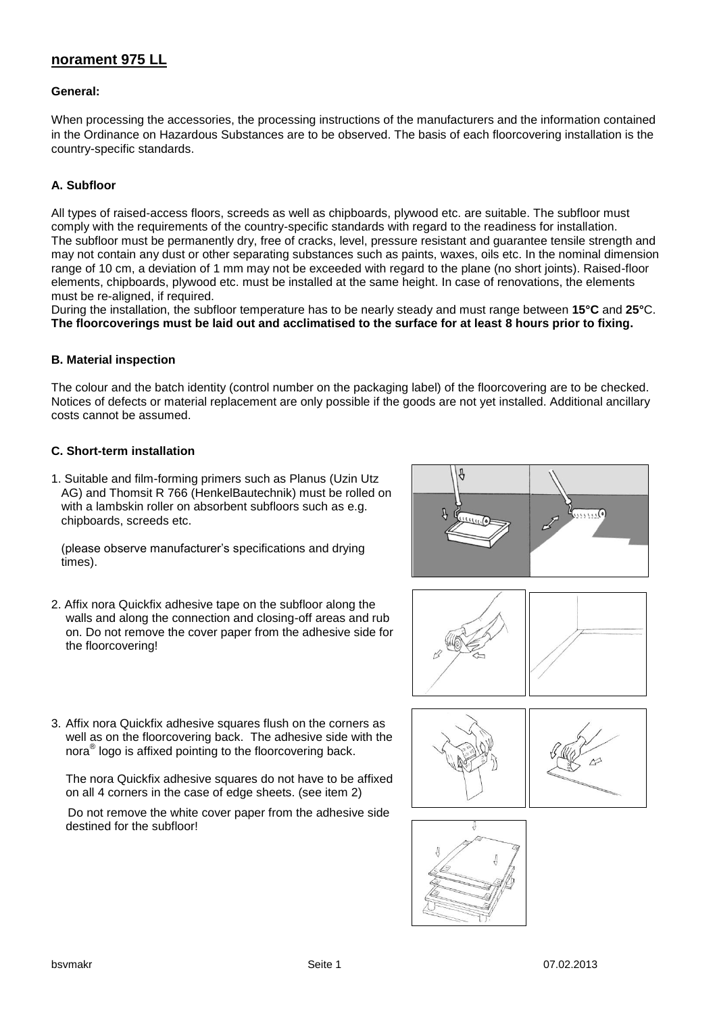# **norament 975 LL**

## **General:**

When processing the accessories, the processing instructions of the manufacturers and the information contained in the Ordinance on Hazardous Substances are to be observed. The basis of each floorcovering installation is the country-specific standards.

## **A. Subfloor**

All types of raised-access floors, screeds as well as chipboards, plywood etc. are suitable. The subfloor must comply with the requirements of the country-specific standards with regard to the readiness for installation. The subfloor must be permanently dry, free of cracks, level, pressure resistant and guarantee tensile strength and may not contain any dust or other separating substances such as paints, waxes, oils etc. In the nominal dimension range of 10 cm, a deviation of 1 mm may not be exceeded with regard to the plane (no short joints). Raised-floor elements, chipboards, plywood etc. must be installed at the same height. In case of renovations, the elements must be re-aligned, if required.

During the installation, the subfloor temperature has to be nearly steady and must range between **15°C** and **25°**C. **The floorcoverings must be laid out and acclimatised to the surface for at least 8 hours prior to fixing.**

## **B. Material inspection**

The colour and the batch identity (control number on the packaging label) of the floorcovering are to be checked. Notices of defects or material replacement are only possible if the goods are not yet installed. Additional ancillary costs cannot be assumed.

#### **C. Short-term installation**

1. Suitable and film-forming primers such as Planus (Uzin Utz AG) and Thomsit R 766 (HenkelBautechnik) must be rolled on with a lambskin roller on absorbent subfloors such as e.g. chipboards, screeds etc.

 (please observe manufacturer's specifications and drying times).

2. Affix nora Quickfix adhesive tape on the subfloor along the walls and along the connection and closing-off areas and rub on. Do not remove the cover paper from the adhesive side for the floorcovering!





3. Affix nora Quickfix adhesive squares flush on the corners as well as on the floorcovering back. The adhesive side with the nora® logo is affixed pointing to the floorcovering back.

The nora Quickfix adhesive squares do not have to be affixed on all 4 corners in the case of edge sheets. (see item 2)

 Do not remove the white cover paper from the adhesive side destined for the subfloor!



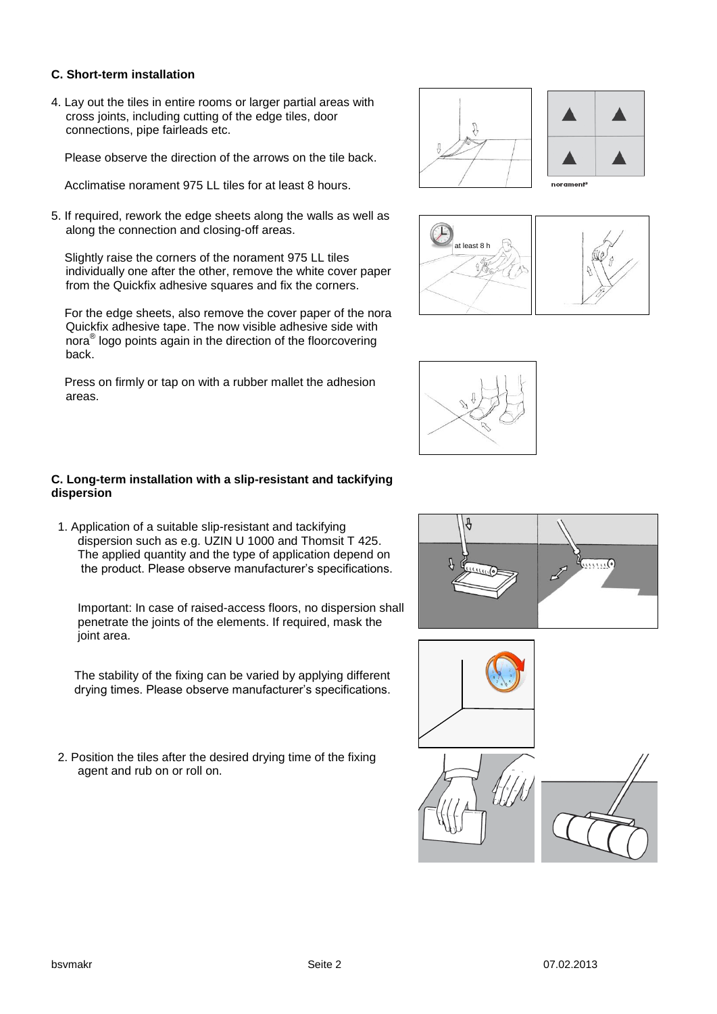## **C. Short-term installation**

4. Lay out the tiles in entire rooms or larger partial areas with cross joints, including cutting of the edge tiles, door connections, pipe fairleads etc.

Please observe the direction of the arrows on the tile back.

Acclimatise norament 975 LL tiles for at least 8 hours.

5. If required, rework the edge sheets along the walls as well as along the connection and closing-off areas.

 Slightly raise the corners of the norament 975 LL tiles individually one after the other, remove the white cover paper from the Quickfix adhesive squares and fix the corners.

 For the edge sheets, also remove the cover paper of the nora Quickfix adhesive tape. The now visible adhesive side with nora® logo points again in the direction of the floorcovering back.

 Press on firmly or tap on with a rubber mallet the adhesion areas.









## **C. Long-term installation with a slip-resistant and tackifying dispersion**

1. Application of a suitable slip-resistant and tackifying dispersion such as e.g. UZIN U 1000 and Thomsit T 425. The applied quantity and the type of application depend on the product. Please observe manufacturer's specifications.

 Important: In case of raised-access floors, no dispersion shall penetrate the joints of the elements. If required, mask the joint area.

 The stability of the fixing can be varied by applying different drying times. Please observe manufacturer's specifications.

2. Position the tiles after the desired drying time of the fixing agent and rub on or roll on.